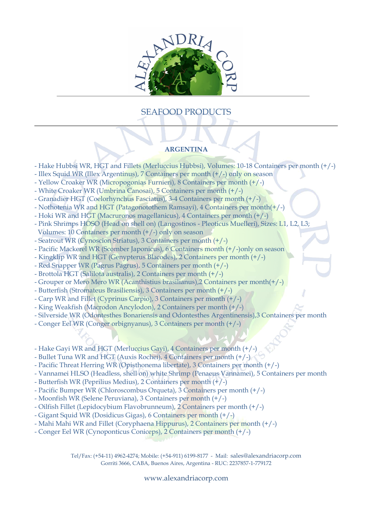

## SEAFOOD PRODUCTS

## **ARGENTINA**

- Hake Hubbsi WR, HGT and Fillets (Merluccius Hubbsi), Volumes: 10-18 Containers per month (+/-)
- Illex Squid WR (Illex Argentinus), 7 Containers per month (+/-) only on season
- Yellow Croaker WR (Micropogonias Furnieri), 8 Containers per month (+/-)
- White Croaker WR (Umbrina Canosai), 5 Containers per month (+/-)
- Granadier HGT (Coelorhynchus Fasciatus), 3-4 Containers per month (+/-)
- Nothotenia WR and HGT (Patagonotothem Ramsayi), 4 Containers per month(+/-)
- Hoki WR and HGT (Macruronos magellanicus), 4 Containers per month (+/-)
- Pink Shrimps HOSO (Head on shell on) (Langostinos Pleoticus Muelleri), Sizes: L1, L2, L3; Volumes: 10 Containers per month (+/-) only on season
- Seatrout WR (Cynoscion Striatus), 3 Containers per month (+/-)
- Pacific Mackerel WR (Scomber Japonicus), 6 Containers month (+/-)only on season
- Kingklip WR and HGT (Genypterus Blacodes), 2 Containers per month (+/-)
- Red Snapper WR (Pagrus Pagrus), 5 Containers per month (+/-)
- Brottola HGT (Salilota australis), 2 Containers per month (+/-)
- Grouper or Mero Mero WR (Acanthistius brasilianus),2 Containers per month(+/-)
- Butterfish (Stromateus Brasiliensis), 3 Containers per month (+/-)
- Carp WR and Fillet (Cyprinus Carpio), 3 Containers per month (+/-)
- King Weakfish (Macrodon Ancylodon), 2 Containers per month (+/-)
- Silverside WR (Odontesthes Bonariensis and Odontesthes Argentinensis),3 Containers per month
- Conger Eel WR (Conger orbignyanus), 3 Containers per month (+/-)
- Hake Gayi WR and HGT (Merluccius Gayi), 4 Containers per month (+/-)
- Bullet Tuna WR and HGT (Auxis Rochei), 4 Containers per month (+/-)
- Pacific Threat Herring WR (Opisthonema libertate), 3 Containers per month (+/-)
- Vannamei HLSO (Headless, shell on) white Shrimp (Penaeus Vannamei), 5 Containers per month
- Butterfish WR (Peprilius Medius), 2 Containers per month (+/-)
- Pacific Bumper WR (Chloroscombus Orqueta), 3 Containers per month (+/-)
- Moonfish WR (Selene Peruviana), 3 Containers per month (+/-)
- Oilfish Fillet (Lepidocybium Flavobrunneum), 2 Containers per month (+/-)
- Gigant Squid WR (Dosidicus Gigas), 6 Containers per month (+/-)
- Mahi Mahi WR and Fillet (Coryphaena Hippurus), 2 Containers per month (+/-)
- Conger Eel WR (Cynoponticus Coniceps), 2 Containers per month (+/-)

Tel/Fax: (+54-11) 4962-4274; Mobile: (+54-911) 6199-8177 - Mail: sales@alexandriacorp.com Gorriti 3666, CABA, Buenos Aires, Argentina - RUC: 2237857-1-779172

www.alexandriacorp.com